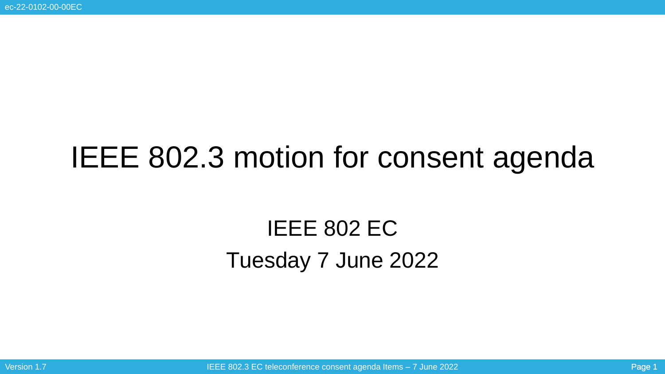# IEEE 802.3 motion for consent agenda

## IEEE 802 EC Tuesday 7 June 2022

Version 1.7 **IEEE 802.3 EC teleconference consent agenda Items – 7 June 2022** Page 1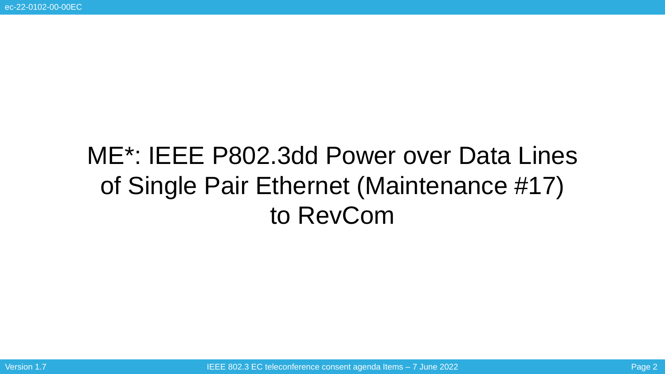# ME\*: IEEE P802.3dd Power over Data Lines of Single Pair Ethernet (Maintenance #17) to RevCom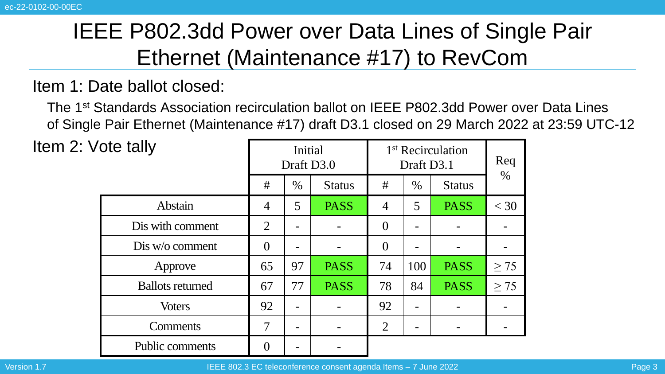### IEEE P802.3dd Power over Data Lines of Single Pair Ethernet (Maintenance #17) to RevCom

#### Item 1: Date ballot closed:

The 1st Standards Association recirculation ballot on IEEE P802.3dd Power over Data Lines of Single Pair Ethernet (Maintenance #17) draft D3.1 closed on 29 March 2022 at 23:59 UTC-12

Item  $2:Vc$ 

| ote tally               | Initial<br>Draft D3.0 |      |               | 1 <sup>st</sup> Recirculation<br>Draft D3.1 |      |               | Req       |
|-------------------------|-----------------------|------|---------------|---------------------------------------------|------|---------------|-----------|
|                         | #                     | $\%$ | <b>Status</b> | #                                           | $\%$ | <b>Status</b> | $\%$      |
| Abstain                 | $\overline{4}$        | 5    | <b>PASS</b>   | 4                                           | 5    | <b>PASS</b>   | $<$ 30    |
| Dis with comment        | 2                     | -    |               | $\Omega$                                    |      |               |           |
| Dis w/o comment         | $\overline{0}$        | -    |               | $\overline{0}$                              |      |               |           |
| Approve                 | 65                    | 97   | <b>PASS</b>   | 74                                          | 100  | <b>PASS</b>   | $\geq$ 75 |
| <b>Ballots returned</b> | 67                    | 77   | <b>PASS</b>   | 78                                          | 84   | <b>PASS</b>   | $\geq$ 75 |
| <b>Voters</b>           | 92                    | -    |               | 92                                          |      |               |           |
| <b>Comments</b>         | 7                     | -    |               | $\overline{2}$                              |      |               |           |
| <b>Public comments</b>  |                       |      |               |                                             |      |               |           |

Version 1.7 IEEE 802.3 EC teleconference consent agenda Items – 7 June 2022 Page 3 Article 1.7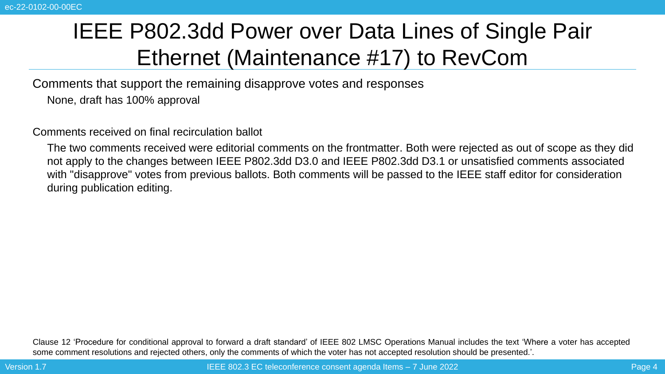### IEEE P802.3dd Power over Data Lines of Single Pair Ethernet (Maintenance #17) to RevCom

Comments that support the remaining disapprove votes and responses

None, draft has 100% approval

Comments received on final recirculation ballot

The two comments received were editorial comments on the frontmatter. Both were rejected as out of scope as they did not apply to the changes between IEEE P802.3dd D3.0 and IEEE P802.3dd D3.1 or unsatisfied comments associated with "disapprove" votes from previous ballots. Both comments will be passed to the IEEE staff editor for consideration during publication editing.

Clause 12 'Procedure for conditional approval to forward a draft standard' of IEEE 802 LMSC Operations Manual includes the text 'Where a voter has accepted some comment resolutions and rejected others, only the comments of which the voter has not accepted resolution should be presented.'.